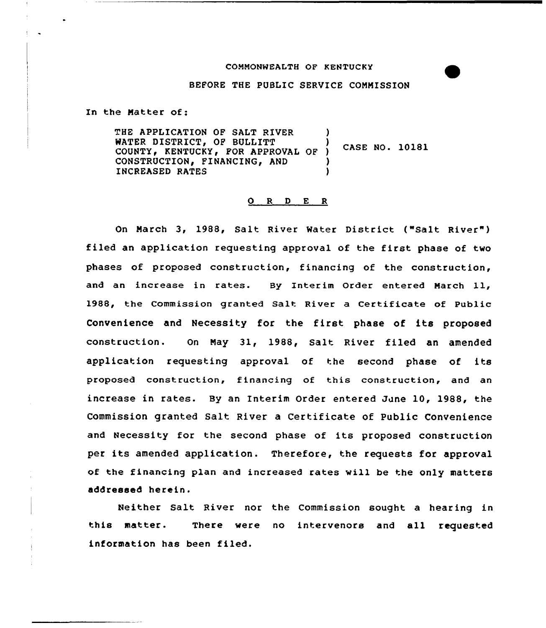# CONNONWEALTH OF KENTUCKY

#### BEFORE THE PUBLIC SERVICE CONNISSION

In the Natter of:

THE APPLICATION OF SALT RIVER WATER DISTRICT, OF BULLITT COUNTY, KENTUCKY, FOR APPROVAL OF ) CONSTRUCTION, FINANCING, AND INCREASED RATES ) CASE NO. 10181 ) ) )

#### 0 <sup>R</sup> <sup>D</sup> E <sup>R</sup>

On March 3, 1988, Salt River Water District ("Salt River" ) filed an application requesting approval of the first phase of two phases of proposed construction, financing of the construction, and an increase in rates. By Interim Order entered Narch ll, 1988, the Commission granted Salt River a Certificate of Public Convenience and Necessity for the first phase of its proposed construction. On Nay 31, 1988, Salt River filed an amended application requesting approval of the second phase of its proposed construction, financing of this construction, and an increase in rates. By an Interim Order entered June 10, 1988, the Commission granted Salt River a Certificate of Public Convenience and Necessity for the second phase of its proposed construction per its amended application. Therefore, the requests for approval of the financing plan and increased rates will be the only matters addressed herein.

Neither Salt River nor the Commission sought a hearing in this matter. There were no interuenors and all requested information has been filed.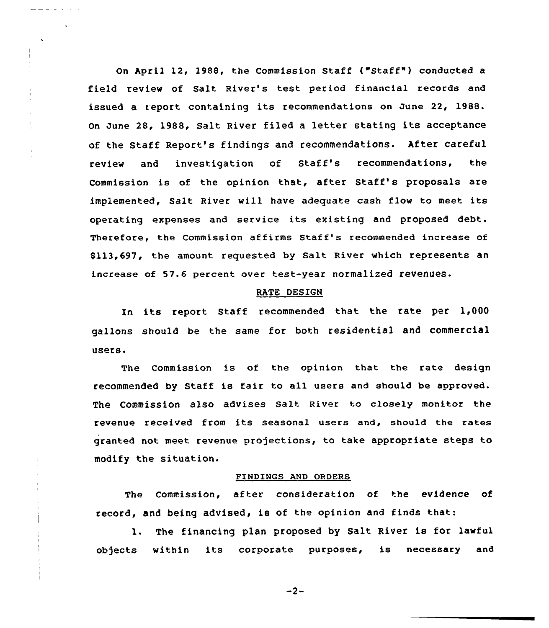On hpril 12, 1988, the Commission Staff ("Staff" ) conducted <sup>a</sup> field review of Salt River's test period financial records and issued a report containing its recommendations on June 22, 1988. On June 28, 1988, Salt River filed <sup>a</sup> letter stating its acceptance of the Staff Report's findings and recommendations. After careful review and investigation of Staff's recommendations, the Commission is of the opinion that, after Staff's proposals are implemented, Salt River will have adequate cash flow to meet its operating expenses and service its existing and proposed debt. Therefore, the Commission affirms Staff's recommended increase of \$113,697, the amount requested by salt River which represents an increase of 57.6 percent over test-year normalized revenues.

#### RATE DESIGN

In its report Staff recommended that the rate per 1,000 gallons should be the same for both residential and commercial users.

The Commission is of the opinion that the rate design recommended by Staff is fair to all users and should be approved. The Commission also advises salt River to closely monitor the revenue received from its seasonal users and, should the rates granted not meet revenue projections, to take appropriate steps to modify the situation.

#### FINDINGS AND ORDERS

The Commission, after consideration of the evidence of record, and being advised, is of the opinion and finds that:

1. The financing plan proposed by Salt River is for lawful ob)ects within its corporate purposes, is necessary and

 $-2-$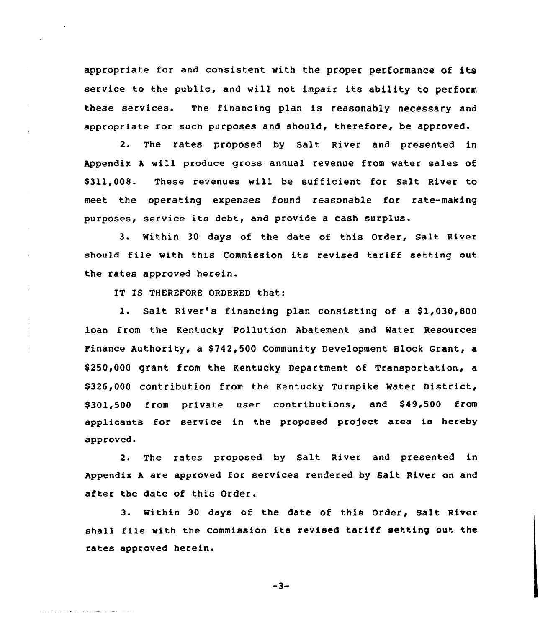appropriate for and consistent with the proper performance of its service to the public, and will not impair its ability to perform these services. The financing plan is reasonably necessary and appropriate for such purposes and should, therefore, be approved.

2. The rates proposed by Salt River and presented in Appendix <sup>A</sup> will produce gross annual revenue from water sales of \$ 311,008. These revenues will be sufficient for Salt River to meet the operating expenses found reasonable for rate-making purposes, service its debt, and provide <sup>a</sup> cash surplus.

3. within 30 days of the date of this order, salt River should file with this Commission its revised tariff setting out the rates approved herein.

IT IS THEREFORE ORDERED that:

والمرادي المسوء موادي والمواري ويعيرون

1. Salt River's financing plan consisting of a \$1,030,800 loan from the Kentucky Pollution Abatement and Mater Resources Finance Authority, a \$742,500 Community Development Block Grant, a \$ 250,000 grant from the Kentucky Department of Transportation, a \$326,000 contribution from the Kentucky Turnpike Water District, \$ 301,500 from private user contributions, and \$49,500 from applicants for service in the proposed project area is hereby approved.

2. The rates proposed by Salt River and presented in Appendix <sup>A</sup> are approved for services rendered by Salt River on and after the date of this Order.

3. Within 30 days of the date of this Order, Salt River shall file with the commission its revised tariff setting out the rates approved herein.

 $-3-$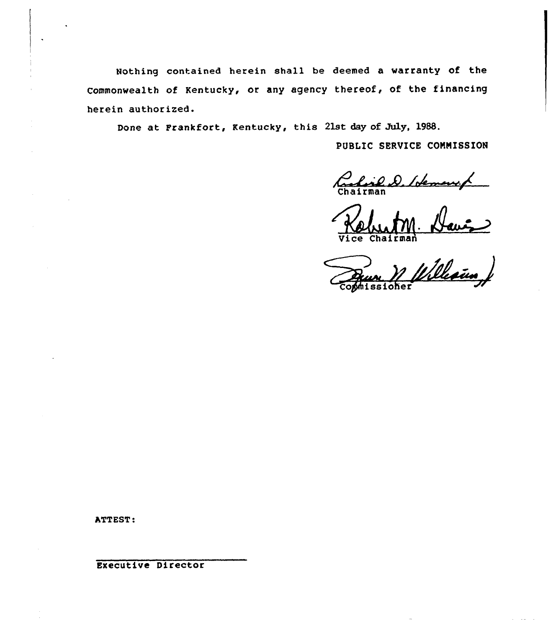Nothing contained herein shall be deemed a warranty of the Commonwealth of Kentucky, or any agency thereof, of the financing herein authorized.

Done at Frankfort, Kentucky, this 21st day of July, 1988.

PUBLIC SERVICE COMMISSION

Charles D. Loleman /

'Qd

Chairnan<br>Chairnan<br>3510her Williams

ATTEST:

Executive Director